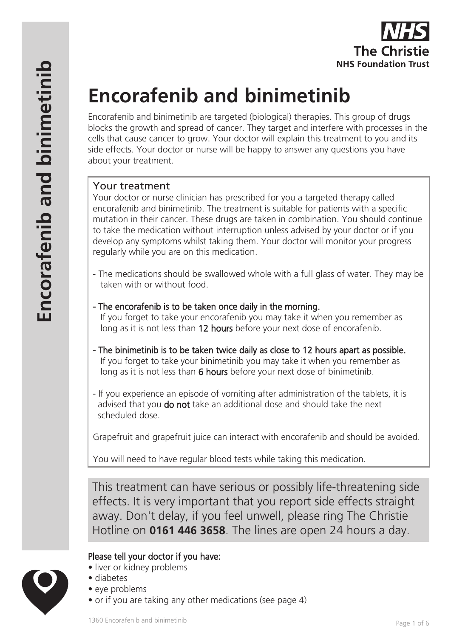

# **Encorafenib and binimetinib**

Encorafenib and binimetinib are targeted (biological) therapies. This group of drugs blocks the growth and spread of cancer. They target and interfere with processes in the cells that cause cancer to grow. Your doctor will explain this treatment to you and its side effects. Your doctor or nurse will be happy to answer any questions you have about your treatment.

## Your treatment

Your doctor or nurse clinician has prescribed for you a targeted therapy called encorafenib and binimetinib. The treatment is suitable for patients with a specific mutation in their cancer. These drugs are taken in combination. You should continue to take the medication without interruption unless advised by your doctor or if you develop any symptoms whilst taking them. Your doctor will monitor your progress regularly while you are on this medication.

- The medications should be swallowed whole with a full glass of water. They may be taken with or without food.
- The encorafenib is to be taken once daily in the morning.

 If you forget to take your encorafenib you may take it when you remember as long as it is not less than 12 hours before your next dose of encorafenib.

- The binimetinib is to be taken twice daily as close to 12 hours apart as possible. If you forget to take your binimetinib you may take it when you remember as long as it is not less than 6 hours before your next dose of binimetinib.
- If you experience an episode of vomiting after administration of the tablets, it is advised that you do not take an additional dose and should take the next scheduled dose.

Grapefruit and grapefruit juice can interact with encorafenib and should be avoided.

You will need to have regular blood tests while taking this medication.

This treatment can have serious or possibly life-threatening side effects. It is very important that you report side effects straight away. Don't delay, if you feel unwell, please ring The Christie Hotline on **0161 446 3658**. The lines are open 24 hours a day.

# Please tell your doctor if you have:

- liver or kidney problems
- diabetes
- eye problems
- or if you are taking any other medications (see page 4)

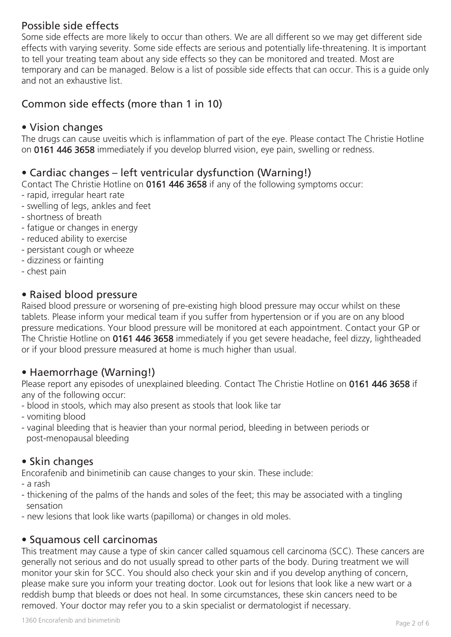# Possible side effects

Some side effects are more likely to occur than others. We are all different so we may get different side effects with varying severity. Some side effects are serious and potentially life-threatening. It is important to tell your treating team about any side effects so they can be monitored and treated. Most are temporary and can be managed. Below is a list of possible side effects that can occur. This is a guide only and not an exhaustive list.

# Common side effects (more than 1 in 10)

## • Vision changes

The drugs can cause uveitis which is inflammation of part of the eye. Please contact The Christie Hotline on 0161 446 3658 immediately if you develop blurred vision, eye pain, swelling or redness.

# • Cardiac changes – left ventricular dysfunction (Warning!)

Contact The Christie Hotline on 0161 446 3658 if any of the following symptoms occur:

- rapid, irregular heart rate
- swelling of legs, ankles and feet
- shortness of breath
- fatigue or changes in energy
- reduced ability to exercise
- persistant cough or wheeze
- dizziness or fainting
- chest pain

## • Raised blood pressure

Raised blood pressure or worsening of pre-existing high blood pressure may occur whilst on these tablets. Please inform your medical team if you suffer from hypertension or if you are on any blood pressure medications. Your blood pressure will be monitored at each appointment. Contact your GP or The Christie Hotline on 0161 446 3658 immediately if you get severe headache, feel dizzy, lightheaded or if your blood pressure measured at home is much higher than usual.

# • Haemorrhage (Warning!)

Please report any episodes of unexplained bleeding. Contact The Christie Hotline on 0161 446 3658 if any of the following occur:

- blood in stools, which may also present as stools that look like tar
- vomiting blood
- vaginal bleeding that is heavier than your normal period, bleeding in between periods or post-menopausal bleeding

## • Skin changes

Encorafenib and binimetinib can cause changes to your skin. These include:

- a rash
- thickening of the palms of the hands and soles of the feet; this may be associated with a tingling sensation
- new lesions that look like warts (papilloma) or changes in old moles.

# • Squamous cell carcinomas

This treatment may cause a type of skin cancer called squamous cell carcinoma (SCC). These cancers are generally not serious and do not usually spread to other parts of the body. During treatment we will monitor your skin for SCC. You should also check your skin and if you develop anything of concern, please make sure you inform your treating doctor. Look out for lesions that look like a new wart or a reddish bump that bleeds or does not heal. In some circumstances, these skin cancers need to be removed. Your doctor may refer you to a skin specialist or dermatologist if necessary.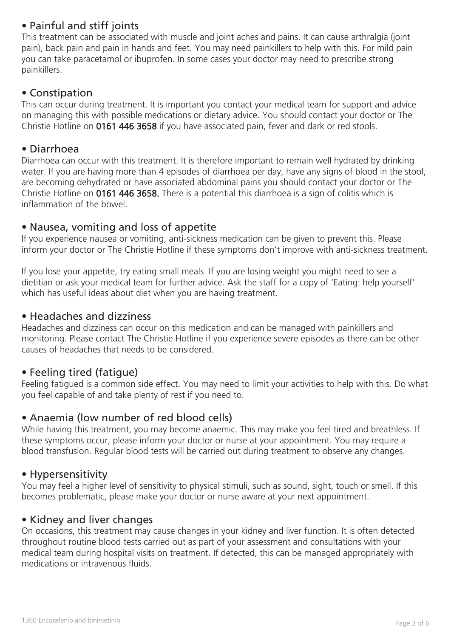# • Painful and stiff joints

This treatment can be associated with muscle and joint aches and pains. It can cause arthralgia (joint pain), back pain and pain in hands and feet. You may need painkillers to help with this. For mild pain you can take paracetamol or ibuprofen. In some cases your doctor may need to prescribe strong painkillers.

## • Constipation

This can occur during treatment. It is important you contact your medical team for support and advice on managing this with possible medications or dietary advice. You should contact your doctor or The Christie Hotline on 0161 446 3658 if you have associated pain, fever and dark or red stools.

#### • Diarrhoea

Diarrhoea can occur with this treatment. It is therefore important to remain well hydrated by drinking water. If you are having more than 4 episodes of diarrhoea per day, have any signs of blood in the stool, are becoming dehydrated or have associated abdominal pains you should contact your doctor or The Christie Hotline on 0161 446 3658. There is a potential this diarrhoea is a sign of colitis which is inflammation of the bowel.

#### • Nausea, vomiting and loss of appetite

If you experience nausea or vomiting, anti-sickness medication can be given to prevent this. Please inform your doctor or The Christie Hotline if these symptoms don't improve with anti-sickness treatment.

If you lose your appetite, try eating small meals. If you are losing weight you might need to see a dietitian or ask your medical team for further advice. Ask the staff for a copy of 'Eating: help yourself' which has useful ideas about diet when you are having treatment.

#### • Headaches and dizziness

Headaches and dizziness can occur on this medication and can be managed with painkillers and monitoring. Please contact The Christie Hotline if you experience severe episodes as there can be other causes of headaches that needs to be considered.

## • Feeling tired (fatigue)

Feeling fatigued is a common side effect. You may need to limit your activities to help with this. Do what you feel capable of and take plenty of rest if you need to.

## • Anaemia (low number of red blood cells)

While having this treatment, you may become anaemic. This may make you feel tired and breathless. If these symptoms occur, please inform your doctor or nurse at your appointment. You may require a blood transfusion. Regular blood tests will be carried out during treatment to observe any changes.

#### • Hypersensitivity

You may feel a higher level of sensitivity to physical stimuli, such as sound, sight, touch or smell. If this becomes problematic, please make your doctor or nurse aware at your next appointment.

#### • Kidney and liver changes

On occasions, this treatment may cause changes in your kidney and liver function. It is often detected throughout routine blood tests carried out as part of your assessment and consultations with your medical team during hospital visits on treatment. If detected, this can be managed appropriately with medications or intravenous fluids.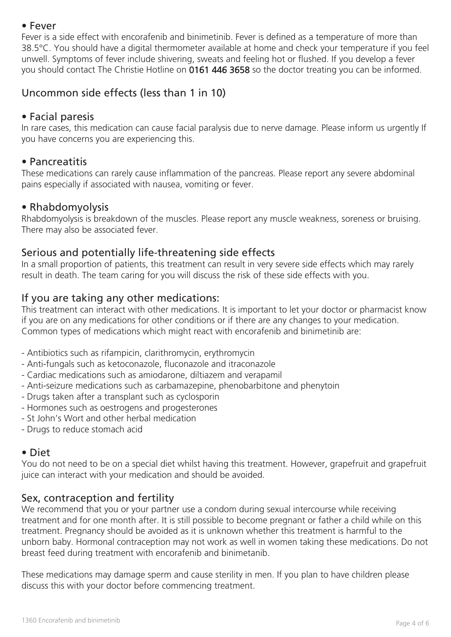#### • Fever

Fever is a side effect with encorafenib and binimetinib. Fever is defined as a temperature of more than 38.5°C. You should have a digital thermometer available at home and check your temperature if you feel unwell. Symptoms of fever include shivering, sweats and feeling hot or flushed. If you develop a fever you should contact The Christie Hotline on 0161 446 3658 so the doctor treating you can be informed.

# Uncommon side effects (less than 1 in 10)

#### • Facial paresis

In rare cases, this medication can cause facial paralysis due to nerve damage. Please inform us urgently If you have concerns you are experiencing this.

#### • Pancreatitis

These medications can rarely cause inflammation of the pancreas. Please report any severe abdominal pains especially if associated with nausea, vomiting or fever.

#### • Rhabdomyolysis

Rhabdomyolysis is breakdown of the muscles. Please report any muscle weakness, soreness or bruising. There may also be associated fever.

## Serious and potentially life-threatening side effects

In a small proportion of patients, this treatment can result in very severe side effects which may rarely result in death. The team caring for you will discuss the risk of these side effects with you.

## If you are taking any other medications:

This treatment can interact with other medications. It is important to let your doctor or pharmacist know if you are on any medications for other conditions or if there are any changes to your medication. Common types of medications which might react with encorafenib and binimetinib are:

- Antibiotics such as rifampicin, clarithromycin, erythromycin
- Anti-fungals such as ketoconazole, fluconazole and itraconazole
- Cardiac medications such as amiodarone, diltiazem and verapamil
- Anti-seizure medications such as carbamazepine, phenobarbitone and phenytoin
- Drugs taken after a transplant such as cyclosporin
- Hormones such as oestrogens and progesterones
- St John's Wort and other herbal medication
- Drugs to reduce stomach acid

## • Diet

You do not need to be on a special diet whilst having this treatment. However, grapefruit and grapefruit juice can interact with your medication and should be avoided.

## Sex, contraception and fertility

We recommend that you or your partner use a condom during sexual intercourse while receiving treatment and for one month after. It is still possible to become pregnant or father a child while on this treatment. Pregnancy should be avoided as it is unknown whether this treatment is harmful to the unborn baby. Hormonal contraception may not work as well in women taking these medications. Do not breast feed during treatment with encorafenib and binimetanib.

These medications may damage sperm and cause sterility in men. If you plan to have children please discuss this with your doctor before commencing treatment.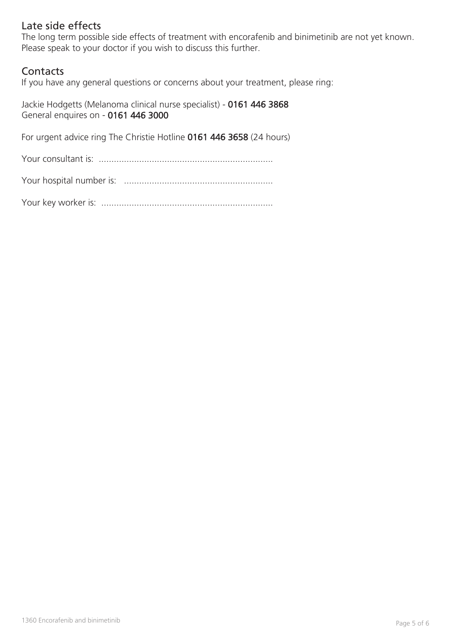# Late side effects

The long term possible side effects of treatment with encorafenib and binimetinib are not yet known. Please speak to your doctor if you wish to discuss this further.

## **Contacts**

If you have any general questions or concerns about your treatment, please ring:

Jackie Hodgetts (Melanoma clinical nurse specialist) - 0161 446 3868 General enquires on - 0161 446 3000

For urgent advice ring The Christie Hotline 0161 446 3658 (24 hours)

Your consultant is: .....................................................................

| Your hospital number is: |  |
|--------------------------|--|